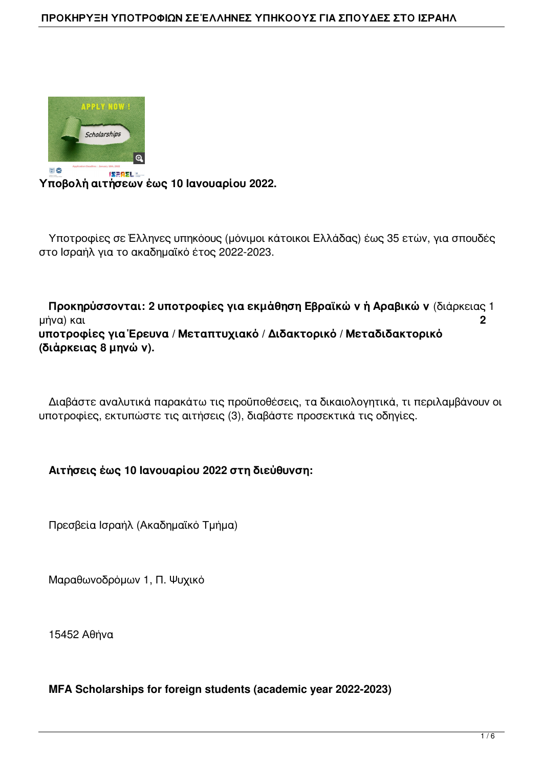#### **ΠΡΟΚΗΡΥΞΗ ΥΠΟΤΡΟΦΙΩΝ ΣΕ ΈΛΛΗΝΕΣ ΥΠΗΚΟΟΥΣ ΓΙΑ ΣΠΟΥΔΕΣ ΣΤΟ ΙΣΡΑΗΛ**



**Υποβολή αιτήσεων έως 10 Ιανουαρίου 2022.**

 Υποτροφίες σε Έλληνες υπηκόους (μόνιμοι κάτοικοι Ελλάδας) έως 35 ετών, για σπουδές στο Ισραήλ για το ακαδημαϊκό έτος 2022-2023.

 **Προκηρύσσονται: 2 υποτροφίες για εκμάθηση Εβραϊκών ή Αραβικών** (διάρκειας 1 μήνα) και **2 υποτροφίες για Έρευνα / Μεταπτυχιακό / Διδακτορικό / Μεταδιδακτορικό (διάρκειας 8 μηνών).**

 Διαβάστε αναλυτικά παρακάτω τις προϋποθέσεις, τα δικαιολογητικά, τι περιλαμβάνουν οι υποτροφίες, εκτυπώστε τις αιτήσεις (3), διαβάστε προσεκτικά τις οδηγίες.

### **Aιτήσεις έως 10 Ιανουαρίου 2022 στη διεύθυνση:**

Πρεσβεία Ισραήλ (Ακαδημαϊκό Τμήμα)

Μαραθωνοδρόμων 1, Π. Ψυχικό

15452 Αθήνα

### **MFA Scholarships for foreign students (academic year 2022-2023)**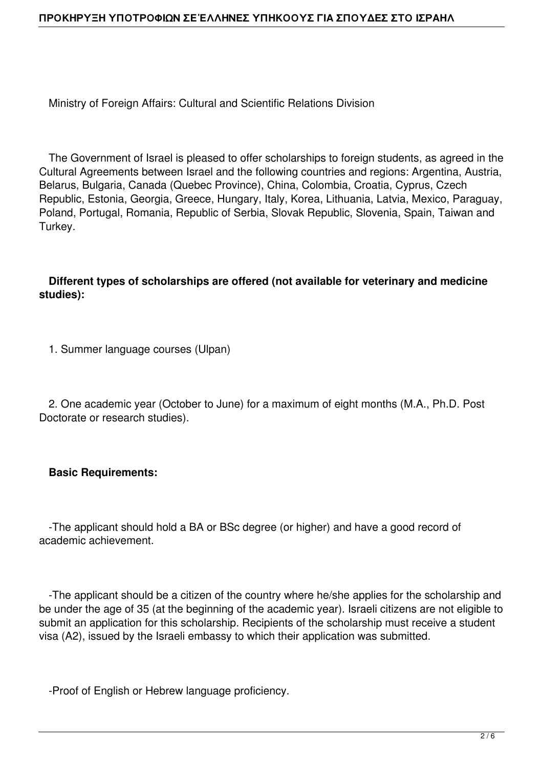Ministry of Foreign Affairs: Cultural and Scientific Relations Division

 The Government of Israel is pleased to offer scholarships to foreign students, as agreed in the Cultural Agreements between Israel and the following countries and regions: Argentina, Austria, Belarus, Bulgaria, Canada (Quebec Province), China, Colombia, Croatia, Cyprus, Czech Republic, Estonia, Georgia, Greece, Hungary, Italy, Korea, Lithuania, Latvia, Mexico, Paraguay, Poland, Portugal, Romania, Republic of Serbia, Slovak Republic, Slovenia, Spain, Taiwan and Turkey.

# **Different types of scholarships are offered (not available for veterinary and medicine studies):**

1. Summer language courses (Ulpan)

 2. One academic year (October to June) for a maximum of eight months (M.A., Ph.D. Post Doctorate or research studies).

### **Basic Requirements:**

 -The applicant should hold a BA or BSc degree (or higher) and have a good record of academic achievement.

 -The applicant should be a citizen of the country where he/she applies for the scholarship and be under the age of 35 (at the beginning of the academic year). Israeli citizens are not eligible to submit an application for this scholarship. Recipients of the scholarship must receive a student visa (A2), issued by the Israeli embassy to which their application was submitted.

-Proof of English or Hebrew language proficiency.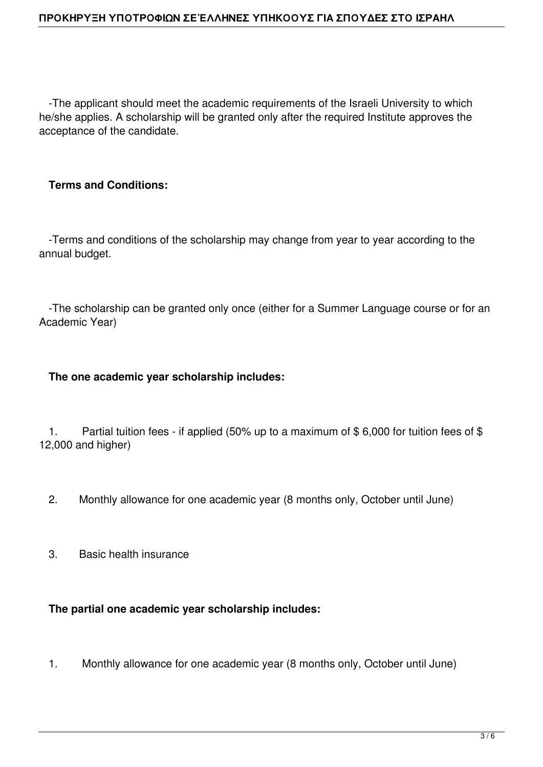-The applicant should meet the academic requirements of the Israeli University to which he/she applies. A scholarship will be granted only after the required Institute approves the acceptance of the candidate.

# **Terms and Conditions:**

 -Terms and conditions of the scholarship may change from year to year according to the annual budget.

 -The scholarship can be granted only once (either for a Summer Language course or for an Academic Year)

#### **The one academic year scholarship includes:**

1. Partial tuition fees - if applied (50% up to a maximum of  $$6,000$  for tuition fees of  $$$ 12,000 and higher)

- 2. Monthly allowance for one academic year (8 months only, October until June)
- 3. Basic health insurance

### **The partial one academic year scholarship includes:**

1. Monthly allowance for one academic year (8 months only, October until June)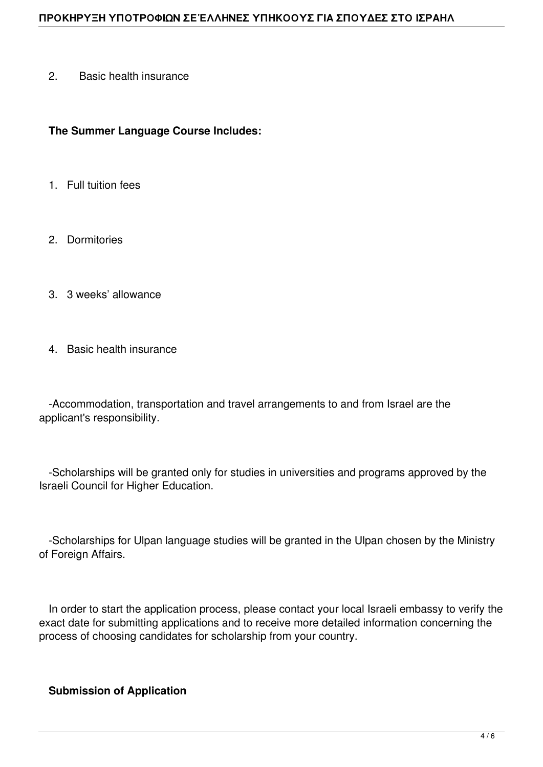2. Basic health insurance

#### **The Summer Language Course Includes:**

- 1. Full tuition fees
- 2. Dormitories
- 3. 3 weeks' allowance
- 4. Basic health insurance

 -Accommodation, transportation and travel arrangements to and from Israel are the applicant's responsibility.

 -Scholarships will be granted only for studies in universities and programs approved by the Israeli Council for Higher Education.

 -Scholarships for Ulpan language studies will be granted in the Ulpan chosen by the Ministry of Foreign Affairs.

 In order to start the application process, please contact your local Israeli embassy to verify the exact date for submitting applications and to receive more detailed information concerning the process of choosing candidates for scholarship from your country.

### **Submission of Application**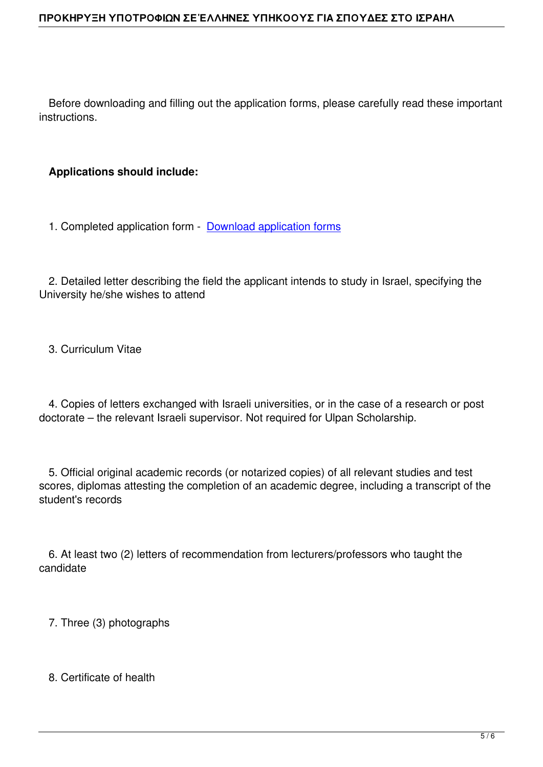Before downloading and filling out the application forms, please carefully read these important instructions.

# **Applications should include:**

1. Completed application form - Download application forms

 2. Detailed letter describing the f[ield the applicant intends to](https://mfa.gov.il/MFA/AboutTheMinistry/Documents/Scholarshipapplication.pdf) study in Israel, specifying the University he/she wishes to attend

3. Curriculum Vitae

 4. Copies of letters exchanged with Israeli universities, or in the case of a research or post doctorate – the relevant Israeli supervisor. Not required for Ulpan Scholarship.

 5. Official original academic records (or notarized copies) of all relevant studies and test scores, diplomas attesting the completion of an academic degree, including a transcript of the student's records

 6. At least two (2) letters of recommendation from lecturers/professors who taught the candidate

7. Three (3) photographs

8. Certificate of health